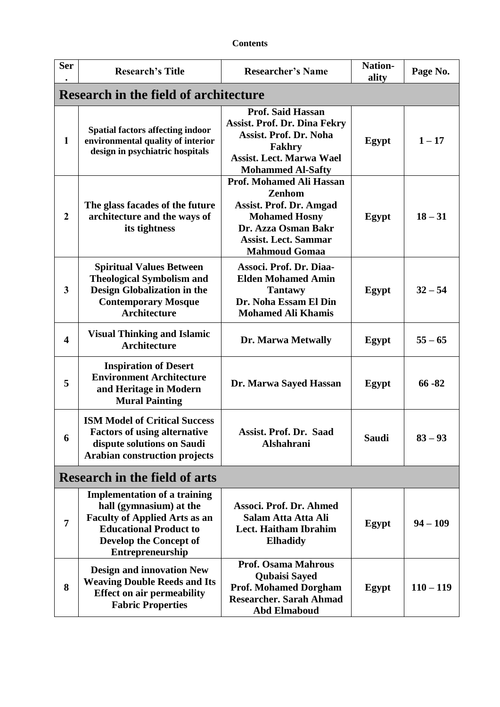| <b>Contents</b> |
|-----------------|
|-----------------|

| <b>Ser</b>                           | <b>Research's Title</b>                                                                                                                                                                      | <b>Researcher's Name</b>                                                                                                                                                          | <b>Nation-</b><br>ality | Page No.    |
|--------------------------------------|----------------------------------------------------------------------------------------------------------------------------------------------------------------------------------------------|-----------------------------------------------------------------------------------------------------------------------------------------------------------------------------------|-------------------------|-------------|
|                                      | <b>Research in the field of architecture</b>                                                                                                                                                 |                                                                                                                                                                                   |                         |             |
| $\mathbf{1}$                         | <b>Spatial factors affecting indoor</b><br>environmental quality of interior<br>design in psychiatric hospitals                                                                              | <b>Prof. Said Hassan</b><br><b>Assist. Prof. Dr. Dina Fekry</b><br><b>Assist. Prof. Dr. Noha</b><br>Fakhry<br><b>Assist. Lect. Marwa Wael</b><br><b>Mohammed Al-Safty</b>         | <b>Egypt</b>            | $1 - 17$    |
| $\overline{2}$                       | The glass facades of the future<br>architecture and the ways of<br>its tightness                                                                                                             | Prof. Mohamed Ali Hassan<br><b>Zenhom</b><br><b>Assist. Prof. Dr. Amgad</b><br><b>Mohamed Hosny</b><br>Dr. Azza Osman Bakr<br><b>Assist. Lect. Sammar</b><br><b>Mahmoud Gomaa</b> | Egypt                   | $18 - 31$   |
| 3                                    | <b>Spiritual Values Between</b><br><b>Theological Symbolism and</b><br><b>Design Globalization in the</b><br><b>Contemporary Mosque</b><br><b>Architecture</b>                               | Associ. Prof. Dr. Diaa-<br><b>Elden Mohamed Amin</b><br><b>Tantawy</b><br>Dr. Noha Essam El Din<br><b>Mohamed Ali Khamis</b>                                                      | Egypt                   | $32 - 54$   |
| $\overline{\mathbf{4}}$              | <b>Visual Thinking and Islamic</b><br><b>Architecture</b>                                                                                                                                    | Dr. Marwa Metwally                                                                                                                                                                | Egypt                   | $55 - 65$   |
| 5                                    | <b>Inspiration of Desert</b><br><b>Environment Architecture</b><br>and Heritage in Modern<br><b>Mural Painting</b>                                                                           | Dr. Marwa Sayed Hassan                                                                                                                                                            | Egypt                   | $66 - 82$   |
| 6                                    | <b>ISM Model of Critical Success</b><br><b>Factors of using alternative</b><br>dispute solutions on Saudi<br>Arabian construction projects                                                   | <b>Assist. Prof. Dr. Saad</b><br>Alshahrani                                                                                                                                       | <b>Saudi</b>            | $83 - 93$   |
| <b>Research in the field of arts</b> |                                                                                                                                                                                              |                                                                                                                                                                                   |                         |             |
| 7                                    | <b>Implementation of a training</b><br>hall (gymnasium) at the<br><b>Faculty of Applied Arts as an</b><br><b>Educational Product to</b><br>Develop the Concept of<br><b>Entrepreneurship</b> | Associ. Prof. Dr. Ahmed<br>Salam Atta Atta Ali<br>Lect. Haitham Ibrahim<br><b>Elhadidy</b>                                                                                        | Egypt                   | $94 - 109$  |
| 8                                    | <b>Design and innovation New</b><br><b>Weaving Double Reeds and Its</b><br><b>Effect on air permeability</b><br><b>Fabric Properties</b>                                                     | <b>Prof. Osama Mahrous</b><br>Qubaisi Sayed<br><b>Prof. Mohamed Dorgham</b><br><b>Researcher. Sarah Ahmad</b><br><b>Abd Elmaboud</b>                                              | Egypt                   | $110 - 119$ |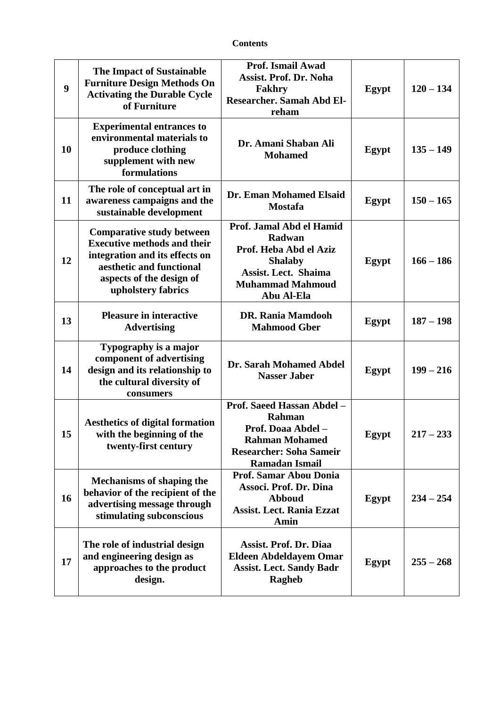| 9  | <b>The Impact of Sustainable</b><br><b>Furniture Design Methods On</b><br><b>Activating the Durable Cycle</b><br>of Furniture                                                          | Prof. Ismail Awad<br><b>Assist. Prof. Dr. Noha</b><br>Fakhry<br><b>Researcher. Samah Abd El-</b><br>reham                                              | Egypt        | $120 - 134$ |
|----|----------------------------------------------------------------------------------------------------------------------------------------------------------------------------------------|--------------------------------------------------------------------------------------------------------------------------------------------------------|--------------|-------------|
| 10 | <b>Experimental entrances to</b><br>environmental materials to<br>produce clothing<br>supplement with new<br>formulations                                                              | Dr. Amani Shaban Ali<br><b>Mohamed</b>                                                                                                                 | Egypt        | $135 - 149$ |
| 11 | The role of conceptual art in<br>awareness campaigns and the<br>sustainable development                                                                                                | Dr. Eman Mohamed Elsaid<br><b>Mostafa</b>                                                                                                              | <b>Egypt</b> | $150 - 165$ |
| 12 | <b>Comparative study between</b><br><b>Executive methods and their</b><br>integration and its effects on<br>aesthetic and functional<br>aspects of the design of<br>upholstery fabrics | Prof. Jamal Abd el Hamid<br>Radwan<br>Prof. Heba Abd el Aziz<br><b>Shalaby</b><br><b>Assist. Lect. Shaima</b><br><b>Muhammad Mahmoud</b><br>Abu Al-Ela | Egypt        | $166 - 186$ |
| 13 | <b>Pleasure in interactive</b><br><b>Advertising</b>                                                                                                                                   | <b>DR. Rania Mamdooh</b><br><b>Mahmood Gber</b>                                                                                                        | Egypt        | $187 - 198$ |
| 14 | Typography is a major<br>component of advertising<br>design and its relationship to<br>the cultural diversity of<br>consumers                                                          | Dr. Sarah Mohamed Abdel<br><b>Nasser Jaber</b>                                                                                                         | Egypt        | $199 - 216$ |
| 15 | <b>Aesthetics of digital formation</b><br>with the beginning of the<br>twenty-first century                                                                                            | Prof. Saeed Hassan Abdel -<br>Rahman<br>Prof. Doaa Abdel -<br><b>Rahman Mohamed</b><br><b>Researcher: Soha Sameir</b><br><b>Ramadan Ismail</b>         | Egypt        | $217 - 233$ |
| 16 | <b>Mechanisms of shaping the</b><br>behavior of the recipient of the<br>advertising message through<br>stimulating subconscious                                                        | Prof. Samar Abou Donia<br>Associ. Prof. Dr. Dina<br><b>Abboud</b><br><b>Assist. Lect. Rania Ezzat</b><br>Amin                                          | Egypt        | $234 - 254$ |
| 17 | The role of industrial design<br>and engineering design as<br>approaches to the product<br>design.                                                                                     | <b>Assist. Prof. Dr. Diaa</b><br><b>Eldeen Abdeldayem Omar</b><br><b>Assist. Lect. Sandy Badr</b><br>Ragheb                                            | Egypt        | $255 - 268$ |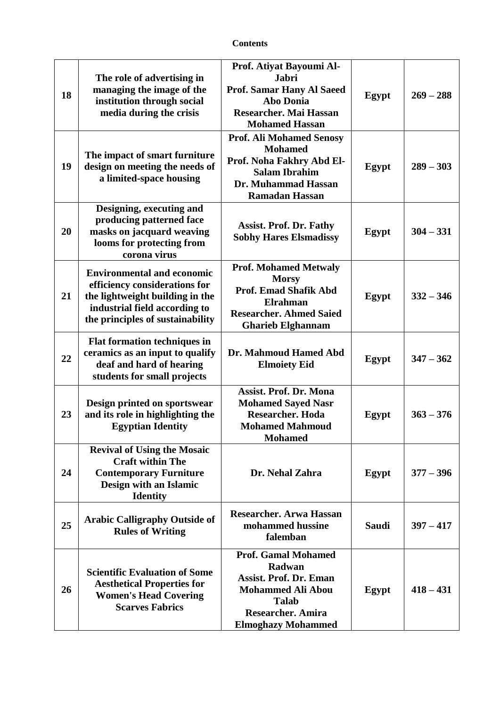| 18 | The role of advertising in<br>managing the image of the<br>institution through social<br>media during the crisis                                                           | Prof. Atiyat Bayoumi Al-<br><b>Jabri</b><br><b>Prof. Samar Hany Al Saeed</b><br><b>Abo Donia</b><br>Researcher. Mai Hassan<br><b>Mohamed Hassan</b>                        | Egypt        | $269 - 288$ |
|----|----------------------------------------------------------------------------------------------------------------------------------------------------------------------------|----------------------------------------------------------------------------------------------------------------------------------------------------------------------------|--------------|-------------|
| 19 | The impact of smart furniture<br>design on meeting the needs of<br>a limited-space housing                                                                                 | <b>Prof. Ali Mohamed Senosy</b><br><b>Mohamed</b><br>Prof. Noha Fakhry Abd El-<br><b>Salam Ibrahim</b><br>Dr. Muhammad Hassan<br><b>Ramadan Hassan</b>                     | Egypt        | $289 - 303$ |
| 20 | Designing, executing and<br>producing patterned face<br>masks on jacquard weaving<br>looms for protecting from<br>corona virus                                             | <b>Assist. Prof. Dr. Fathy</b><br><b>Sobhy Hares Elsmadissy</b>                                                                                                            | Egypt        | $304 - 331$ |
| 21 | <b>Environmental and economic</b><br>efficiency considerations for<br>the lightweight building in the<br>industrial field according to<br>the principles of sustainability | <b>Prof. Mohamed Metwaly</b><br><b>Morsy</b><br><b>Prof. Emad Shafik Abd</b><br><b>Elrahman</b><br><b>Researcher. Ahmed Saied</b><br><b>Gharieb Elghannam</b>              | Egypt        | $332 - 346$ |
| 22 | <b>Flat formation techniques in</b><br>ceramics as an input to qualify<br>deaf and hard of hearing<br>students for small projects                                          | Dr. Mahmoud Hamed Abd<br><b>Elmoiety Eid</b>                                                                                                                               | Egypt        | $347 - 362$ |
| 23 | Design printed on sportswear<br>and its role in highlighting the<br><b>Egyptian Identity</b>                                                                               | <b>Assist. Prof. Dr. Mona</b><br><b>Mohamed Sayed Nasr</b><br><b>Researcher. Hoda</b><br><b>Mohamed Mahmoud</b><br><b>Mohamed</b>                                          | Egypt        | $363 - 376$ |
| 24 | <b>Revival of Using the Mosaic</b><br><b>Craft within The</b><br><b>Contemporary Furniture</b><br>Design with an Islamic<br><b>Identity</b>                                | Dr. Nehal Zahra                                                                                                                                                            | Egypt        | $377 - 396$ |
| 25 | <b>Arabic Calligraphy Outside of</b><br><b>Rules of Writing</b>                                                                                                            | <b>Researcher. Arwa Hassan</b><br>mohammed hussine<br>falemban                                                                                                             | <b>Saudi</b> | $397 - 417$ |
| 26 | <b>Scientific Evaluation of Some</b><br><b>Aesthetical Properties for</b><br><b>Women's Head Covering</b><br><b>Scarves Fabrics</b>                                        | <b>Prof. Gamal Mohamed</b><br>Radwan<br><b>Assist. Prof. Dr. Eman</b><br><b>Mohammed Ali Abou</b><br><b>Talab</b><br><b>Researcher. Amira</b><br><b>Elmoghazy Mohammed</b> | Egypt        | $418 - 431$ |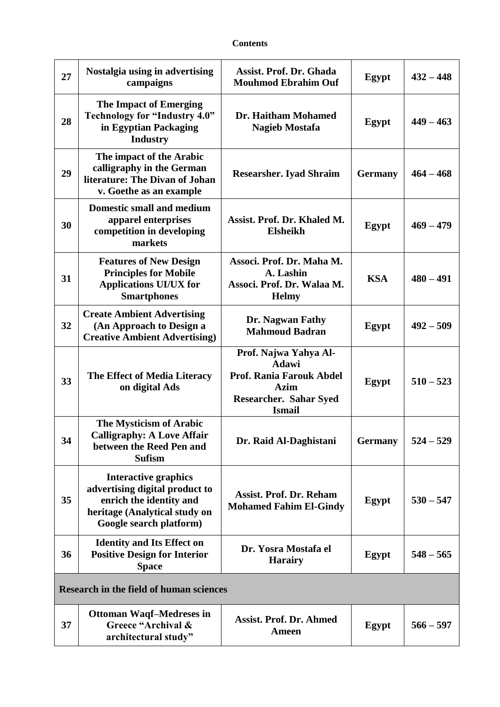| 27                                             | Nostalgia using in advertising<br>campaigns                                                                                                   | <b>Assist. Prof. Dr. Ghada</b><br><b>Mouhmod Ebrahim Ouf</b>                                                                       | Egypt          | $432 - 448$ |
|------------------------------------------------|-----------------------------------------------------------------------------------------------------------------------------------------------|------------------------------------------------------------------------------------------------------------------------------------|----------------|-------------|
| 28                                             | <b>The Impact of Emerging</b><br><b>Technology for "Industry 4.0"</b><br>in Egyptian Packaging<br><b>Industry</b>                             | Dr. Haitham Mohamed<br><b>Nagieb Mostafa</b>                                                                                       | Egypt          | $449 - 463$ |
| 29                                             | The impact of the Arabic<br>calligraphy in the German<br>literature: The Divan of Johan<br>v. Goethe as an example                            | <b>Researsher. Iyad Shraim</b>                                                                                                     | <b>Germany</b> | $464 - 468$ |
| 30                                             | <b>Domestic small and medium</b><br>apparel enterprises<br>competition in developing<br>markets                                               | Assist. Prof. Dr. Khaled M.<br><b>Elsheikh</b>                                                                                     | Egypt          | $469 - 479$ |
| 31                                             | <b>Features of New Design</b><br><b>Principles for Mobile</b><br><b>Applications UI/UX for</b><br><b>Smartphones</b>                          | Associ. Prof. Dr. Maha M.<br>A. Lashin<br>Associ. Prof. Dr. Walaa M.<br><b>Helmy</b>                                               | <b>KSA</b>     | $480 - 491$ |
| 32                                             | <b>Create Ambient Advertising</b><br>(An Approach to Design a<br><b>Creative Ambient Advertising)</b>                                         | Dr. Nagwan Fathy<br><b>Mahmoud Badran</b>                                                                                          | Egypt          | $492 - 509$ |
| 33                                             | The Effect of Media Literacy<br>on digital Ads                                                                                                | Prof. Najwa Yahya Al-<br><b>Adawi</b><br><b>Prof. Rania Farouk Abdel</b><br><b>Azim</b><br>Researcher. Sahar Syed<br><b>Ismail</b> | Egypt          | $510 - 523$ |
| 34                                             | The Mysticism of Arabic<br><b>Calligraphy: A Love Affair</b><br>between the Reed Pen and<br><b>Sufism</b>                                     | Dr. Raid Al-Daghistani                                                                                                             | <b>Germany</b> | $524 - 529$ |
| 35                                             | Interactive graphics<br>advertising digital product to<br>enrich the identity and<br>heritage (Analytical study on<br>Google search platform) | <b>Assist. Prof. Dr. Reham</b><br><b>Mohamed Fahim El-Gindy</b>                                                                    | Egypt          | $530 - 547$ |
| 36                                             | <b>Identity and Its Effect on</b><br><b>Positive Design for Interior</b><br><b>Space</b>                                                      | Dr. Yosra Mostafa el<br><b>Harairy</b>                                                                                             | Egypt          | $548 - 565$ |
| <b>Research in the field of human sciences</b> |                                                                                                                                               |                                                                                                                                    |                |             |
| 37                                             | <b>Ottoman Waqf-Medreses in</b><br>Greece "Archival &<br>architectural study"                                                                 | <b>Assist. Prof. Dr. Ahmed</b><br><b>Ameen</b>                                                                                     | Egypt          | $566 - 597$ |